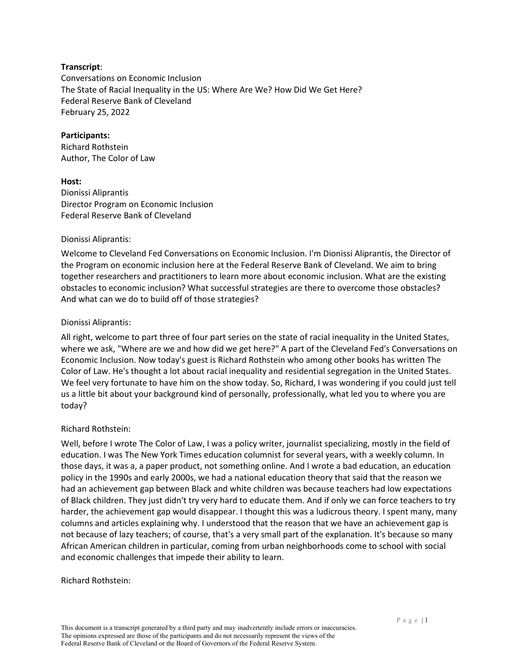### **Transcript**:

Conversations on Economic Inclusion The State of Racial Inequality in the US: Where Are We? How Did We Get Here? Federal Reserve Bank of Cleveland February 25, 2022

#### **Participants:**

Richard Rothstein Author, The Color of Law

#### **Host:**

Dionissi Aliprantis Director Program on Economic Inclusion Federal Reserve Bank of Cleveland

#### Dionissi Aliprantis:

Welcome to Cleveland Fed Conversations on Economic Inclusion. I'm Dionissi Aliprantis, the Director of the Program on economic inclusion here at the Federal Reserve Bank of Cleveland. We aim to bring together researchers and practitioners to learn more about economic inclusion. What are the existing obstacles to economic inclusion? What successful strategies are there to overcome those obstacles? And what can we do to build off of those strategies?

#### Dionissi Aliprantis:

All right, welcome to part three of four part series on the state of racial inequality in the United States, where we ask, "Where are we and how did we get here?" A part of the Cleveland Fed's Conversations on Economic Inclusion. Now today's guest is Richard Rothstein who among other books has written The Color of Law. He's thought a lot about racial inequality and residential segregation in the United States. We feel very fortunate to have him on the show today. So, Richard, I was wondering if you could just tell us a little bit about your background kind of personally, professionally, what led you to where you are today?

### Richard Rothstein:

Well, before I wrote The Color of Law, I was a policy writer, journalist specializing, mostly in the field of education. I was The New York Times education columnist for several years, with a weekly column. In those days, it was a, a paper product, not something online. And I wrote a bad education, an education policy in the 1990s and early 2000s, we had a national education theory that said that the reason we had an achievement gap between Black and white children was because teachers had low expectations of Black children. They just didn't try very hard to educate them. And if only we can force teachers to try harder, the achievement gap would disappear. I thought this was a ludicrous theory. I spent many, many columns and articles explaining why. I understood that the reason that we have an achievement gap is not because of lazy teachers; of course, that's a very small part of the explanation. It's because so many African American children in particular, coming from urban neighborhoods come to school with social and economic challenges that impede their ability to learn.

#### Richard Rothstein: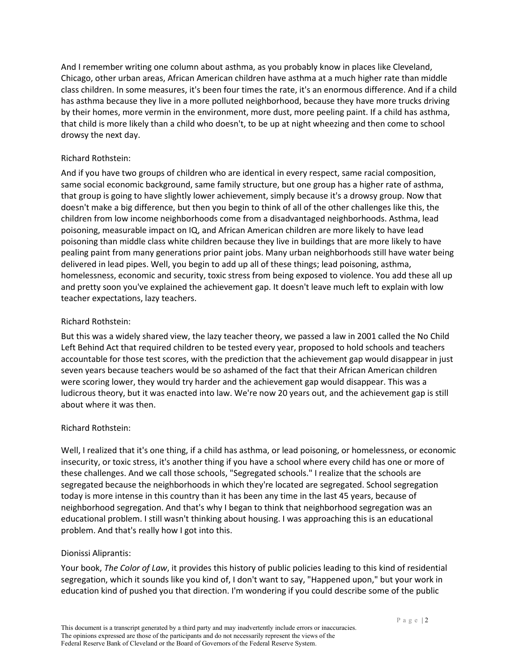And I remember writing one column about asthma, as you probably know in places like Cleveland, Chicago, other urban areas, African American children have asthma at a much higher rate than middle class children. In some measures, it's been four times the rate, it's an enormous difference. And if a child has asthma because they live in a more polluted neighborhood, because they have more trucks driving by their homes, more vermin in the environment, more dust, more peeling paint. If a child has asthma, that child is more likely than a child who doesn't, to be up at night wheezing and then come to school drowsy the next day.

## Richard Rothstein:

And if you have two groups of children who are identical in every respect, same racial composition, same social economic background, same family structure, but one group has a higher rate of asthma, that group is going to have slightly lower achievement, simply because it's a drowsy group. Now that doesn't make a big difference, but then you begin to think of all of the other challenges like this, the children from low income neighborhoods come from a disadvantaged neighborhoods. Asthma, lead poisoning, measurable impact on IQ, and African American children are more likely to have lead poisoning than middle class white children because they live in buildings that are more likely to have pealing paint from many generations prior paint jobs. Many urban neighborhoods still have water being delivered in lead pipes. Well, you begin to add up all of these things; lead poisoning, asthma, homelessness, economic and security, toxic stress from being exposed to violence. You add these all up and pretty soon you've explained the achievement gap. It doesn't leave much left to explain with low teacher expectations, lazy teachers.

## Richard Rothstein:

But this was a widely shared view, the lazy teacher theory, we passed a law in 2001 called the No Child Left Behind Act that required children to be tested every year, proposed to hold schools and teachers accountable for those test scores, with the prediction that the achievement gap would disappear in just seven years because teachers would be so ashamed of the fact that their African American children were scoring lower, they would try harder and the achievement gap would disappear. This was a ludicrous theory, but it was enacted into law. We're now 20 years out, and the achievement gap is still about where it was then.

### Richard Rothstein:

Well, I realized that it's one thing, if a child has asthma, or lead poisoning, or homelessness, or economic insecurity, or toxic stress, it's another thing if you have a school where every child has one or more of these challenges. And we call those schools, "Segregated schools." I realize that the schools are segregated because the neighborhoods in which they're located are segregated. School segregation today is more intense in this country than it has been any time in the last 45 years, because of neighborhood segregation. And that's why I began to think that neighborhood segregation was an educational problem. I still wasn't thinking about housing. I was approaching this is an educational problem. And that's really how I got into this.

### Dionissi Aliprantis:

Your book, *The Color of Law*, it provides this history of public policies leading to this kind of residential segregation, which it sounds like you kind of, I don't want to say, "Happened upon," but your work in education kind of pushed you that direction. I'm wondering if you could describe some of the public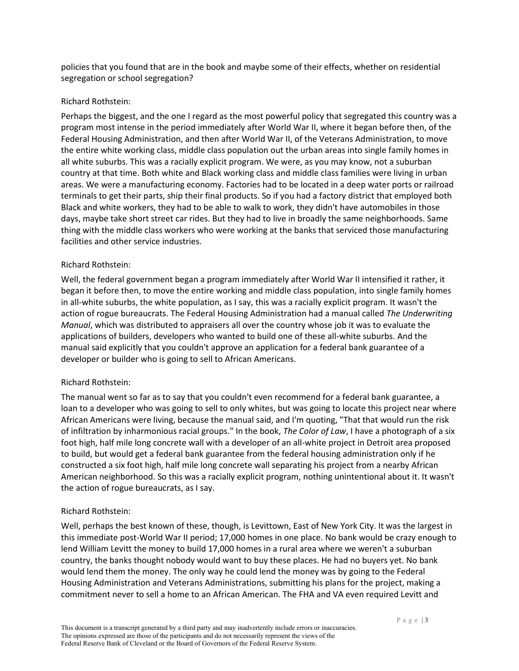policies that you found that are in the book and maybe some of their effects, whether on residential segregation or school segregation?

### Richard Rothstein:

Perhaps the biggest, and the one I regard as the most powerful policy that segregated this country was a program most intense in the period immediately after World War II, where it began before then, of the Federal Housing Administration, and then after World War II, of the Veterans Administration, to move the entire white working class, middle class population out the urban areas into single family homes in all white suburbs. This was a racially explicit program. We were, as you may know, not a suburban country at that time. Both white and Black working class and middle class families were living in urban areas. We were a manufacturing economy. Factories had to be located in a deep water ports or railroad terminals to get their parts, ship their final products. So if you had a factory district that employed both Black and white workers, they had to be able to walk to work, they didn't have automobiles in those days, maybe take short street car rides. But they had to live in broadly the same neighborhoods. Same thing with the middle class workers who were working at the banks that serviced those manufacturing facilities and other service industries.

## Richard Rothstein:

Well, the federal government began a program immediately after World War II intensified it rather, it began it before then, to move the entire working and middle class population, into single family homes in all-white suburbs, the white population, as I say, this was a racially explicit program. It wasn't the action of rogue bureaucrats. The Federal Housing Administration had a manual called *The Underwriting Manual*, which was distributed to appraisers all over the country whose job it was to evaluate the applications of builders, developers who wanted to build one of these all-white suburbs. And the manual said explicitly that you couldn't approve an application for a federal bank guarantee of a developer or builder who is going to sell to African Americans.

# Richard Rothstein:

The manual went so far as to say that you couldn't even recommend for a federal bank guarantee, a loan to a developer who was going to sell to only whites, but was going to locate this project near where African Americans were living, because the manual said, and I'm quoting, "That that would run the risk of infiltration by inharmonious racial groups." In the book, *The Color of Law*, I have a photograph of a six foot high, half mile long concrete wall with a developer of an all-white project in Detroit area proposed to build, but would get a federal bank guarantee from the federal housing administration only if he constructed a six foot high, half mile long concrete wall separating his project from a nearby African American neighborhood. So this was a racially explicit program, nothing unintentional about it. It wasn't the action of rogue bureaucrats, as I say.

### Richard Rothstein:

Well, perhaps the best known of these, though, is Levittown, East of New York City. It was the largest in this immediate post-World War II period; 17,000 homes in one place. No bank would be crazy enough to lend William Levitt the money to build 17,000 homes in a rural area where we weren't a suburban country, the banks thought nobody would want to buy these places. He had no buyers yet. No bank would lend them the money. The only way he could lend the money was by going to the Federal Housing Administration and Veterans Administrations, submitting his plans for the project, making a commitment never to sell a home to an African American. The FHA and VA even required Levitt and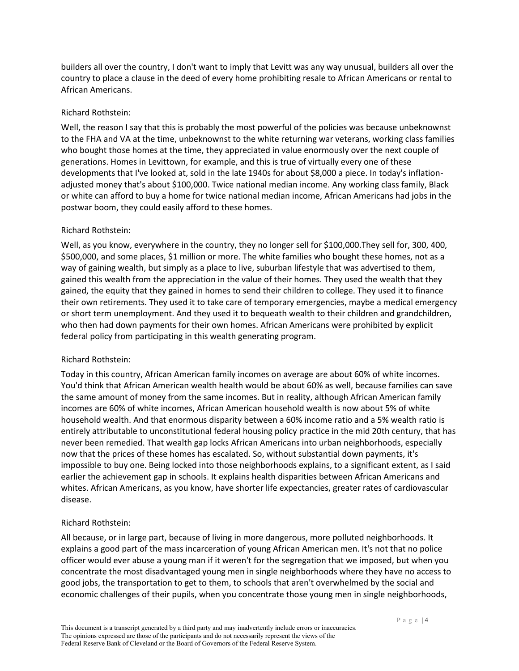builders all over the country, I don't want to imply that Levitt was any way unusual, builders all over the country to place a clause in the deed of every home prohibiting resale to African Americans or rental to African Americans.

### Richard Rothstein:

Well, the reason I say that this is probably the most powerful of the policies was because unbeknownst to the FHA and VA at the time, unbeknownst to the white returning war veterans, working class families who bought those homes at the time, they appreciated in value enormously over the next couple of generations. Homes in Levittown, for example, and this is true of virtually every one of these developments that I've looked at, sold in the late 1940s for about \$8,000 a piece. In today's inflationadjusted money that's about \$100,000. Twice national median income. Any working class family, Black or white can afford to buy a home for twice national median income, African Americans had jobs in the postwar boom, they could easily afford to these homes.

## Richard Rothstein:

Well, as you know, everywhere in the country, they no longer sell for \$100,000.They sell for, 300, 400, \$500,000, and some places, \$1 million or more. The white families who bought these homes, not as a way of gaining wealth, but simply as a place to live, suburban lifestyle that was advertised to them, gained this wealth from the appreciation in the value of their homes. They used the wealth that they gained, the equity that they gained in homes to send their children to college. They used it to finance their own retirements. They used it to take care of temporary emergencies, maybe a medical emergency or short term unemployment. And they used it to bequeath wealth to their children and grandchildren, who then had down payments for their own homes. African Americans were prohibited by explicit federal policy from participating in this wealth generating program.

# Richard Rothstein:

Today in this country, African American family incomes on average are about 60% of white incomes. You'd think that African American wealth health would be about 60% as well, because families can save the same amount of money from the same incomes. But in reality, although African American family incomes are 60% of white incomes, African American household wealth is now about 5% of white household wealth. And that enormous disparity between a 60% income ratio and a 5% wealth ratio is entirely attributable to unconstitutional federal housing policy practice in the mid 20th century, that has never been remedied. That wealth gap locks African Americans into urban neighborhoods, especially now that the prices of these homes has escalated. So, without substantial down payments, it's impossible to buy one. Being locked into those neighborhoods explains, to a significant extent, as I said earlier the achievement gap in schools. It explains health disparities between African Americans and whites. African Americans, as you know, have shorter life expectancies, greater rates of cardiovascular disease.

# Richard Rothstein:

All because, or in large part, because of living in more dangerous, more polluted neighborhoods. It explains a good part of the mass incarceration of young African American men. It's not that no police officer would ever abuse a young man if it weren't for the segregation that we imposed, but when you concentrate the most disadvantaged young men in single neighborhoods where they have no access to good jobs, the transportation to get to them, to schools that aren't overwhelmed by the social and economic challenges of their pupils, when you concentrate those young men in single neighborhoods,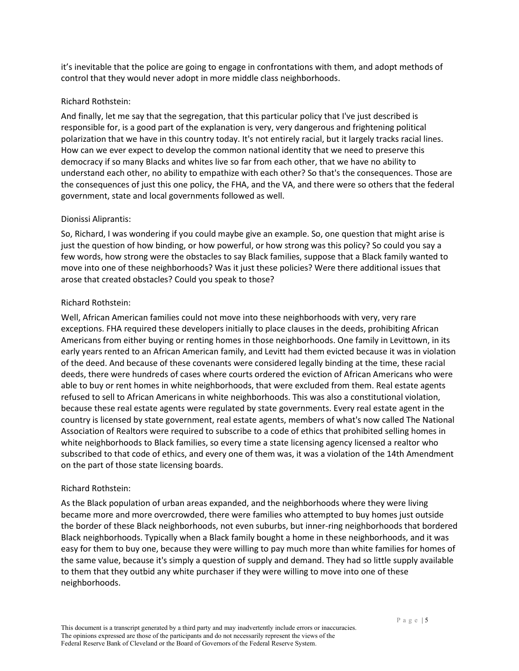it's inevitable that the police are going to engage in confrontations with them, and adopt methods of control that they would never adopt in more middle class neighborhoods.

### Richard Rothstein:

And finally, let me say that the segregation, that this particular policy that I've just described is responsible for, is a good part of the explanation is very, very dangerous and frightening political polarization that we have in this country today. It's not entirely racial, but it largely tracks racial lines. How can we ever expect to develop the common national identity that we need to preserve this democracy if so many Blacks and whites live so far from each other, that we have no ability to understand each other, no ability to empathize with each other? So that's the consequences. Those are the consequences of just this one policy, the FHA, and the VA, and there were so others that the federal government, state and local governments followed as well.

## Dionissi Aliprantis:

So, Richard, I was wondering if you could maybe give an example. So, one question that might arise is just the question of how binding, or how powerful, or how strong was this policy? So could you say a few words, how strong were the obstacles to say Black families, suppose that a Black family wanted to move into one of these neighborhoods? Was it just these policies? Were there additional issues that arose that created obstacles? Could you speak to those?

## Richard Rothstein:

Well, African American families could not move into these neighborhoods with very, very rare exceptions. FHA required these developers initially to place clauses in the deeds, prohibiting African Americans from either buying or renting homes in those neighborhoods. One family in Levittown, in its early years rented to an African American family, and Levitt had them evicted because it was in violation of the deed. And because of these covenants were considered legally binding at the time, these racial deeds, there were hundreds of cases where courts ordered the eviction of African Americans who were able to buy or rent homes in white neighborhoods, that were excluded from them. Real estate agents refused to sell to African Americans in white neighborhoods. This was also a constitutional violation, because these real estate agents were regulated by state governments. Every real estate agent in the country is licensed by state government, real estate agents, members of what's now called The National Association of Realtors were required to subscribe to a code of ethics that prohibited selling homes in white neighborhoods to Black families, so every time a state licensing agency licensed a realtor who subscribed to that code of ethics, and every one of them was, it was a violation of the 14th Amendment on the part of those state licensing boards.

### Richard Rothstein:

As the Black population of urban areas expanded, and the neighborhoods where they were living became more and more overcrowded, there were families who attempted to buy homes just outside the border of these Black neighborhoods, not even suburbs, but inner-ring neighborhoods that bordered Black neighborhoods. Typically when a Black family bought a home in these neighborhoods, and it was easy for them to buy one, because they were willing to pay much more than white families for homes of the same value, because it's simply a question of supply and demand. They had so little supply available to them that they outbid any white purchaser if they were willing to move into one of these neighborhoods.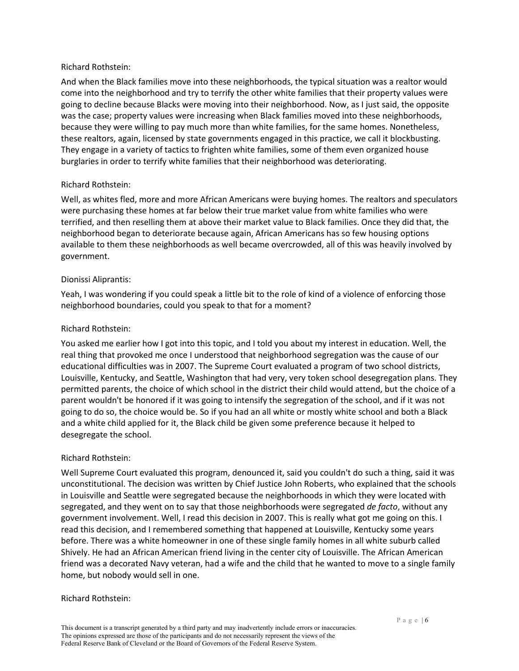#### Richard Rothstein:

And when the Black families move into these neighborhoods, the typical situation was a realtor would come into the neighborhood and try to terrify the other white families that their property values were going to decline because Blacks were moving into their neighborhood. Now, as I just said, the opposite was the case; property values were increasing when Black families moved into these neighborhoods, because they were willing to pay much more than white families, for the same homes. Nonetheless, these realtors, again, licensed by state governments engaged in this practice, we call it blockbusting. They engage in a variety of tactics to frighten white families, some of them even organized house burglaries in order to terrify white families that their neighborhood was deteriorating.

### Richard Rothstein:

Well, as whites fled, more and more African Americans were buying homes. The realtors and speculators were purchasing these homes at far below their true market value from white families who were terrified, and then reselling them at above their market value to Black families. Once they did that, the neighborhood began to deteriorate because again, African Americans has so few housing options available to them these neighborhoods as well became overcrowded, all of this was heavily involved by government.

### Dionissi Aliprantis:

Yeah, I was wondering if you could speak a little bit to the role of kind of a violence of enforcing those neighborhood boundaries, could you speak to that for a moment?

### Richard Rothstein:

You asked me earlier how I got into this topic, and I told you about my interest in education. Well, the real thing that provoked me once I understood that neighborhood segregation was the cause of our educational difficulties was in 2007. The Supreme Court evaluated a program of two school districts, Louisville, Kentucky, and Seattle, Washington that had very, very token school desegregation plans. They permitted parents, the choice of which school in the district their child would attend, but the choice of a parent wouldn't be honored if it was going to intensify the segregation of the school, and if it was not going to do so, the choice would be. So if you had an all white or mostly white school and both a Black and a white child applied for it, the Black child be given some preference because it helped to desegregate the school.

### Richard Rothstein:

Well Supreme Court evaluated this program, denounced it, said you couldn't do such a thing, said it was unconstitutional. The decision was written by Chief Justice John Roberts, who explained that the schools in Louisville and Seattle were segregated because the neighborhoods in which they were located with segregated, and they went on to say that those neighborhoods were segregated *de facto*, without any government involvement. Well, I read this decision in 2007. This is really what got me going on this. I read this decision, and I remembered something that happened at Louisville, Kentucky some years before. There was a white homeowner in one of these single family homes in all white suburb called Shively. He had an African American friend living in the center city of Louisville. The African American friend was a decorated Navy veteran, had a wife and the child that he wanted to move to a single family home, but nobody would sell in one.

#### Richard Rothstein: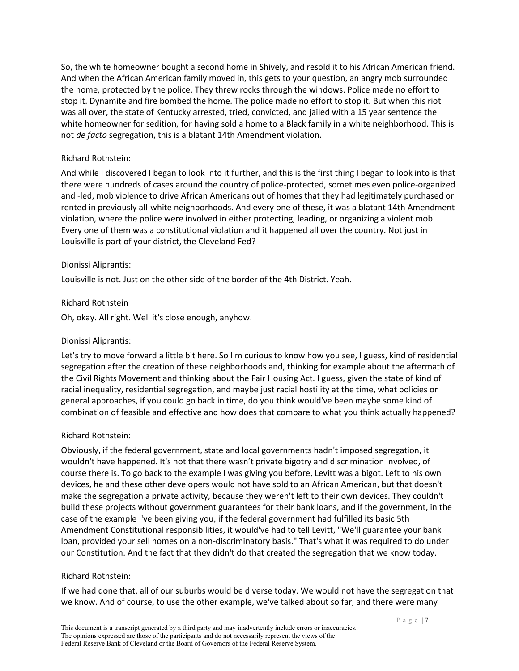So, the white homeowner bought a second home in Shively, and resold it to his African American friend. And when the African American family moved in, this gets to your question, an angry mob surrounded the home, protected by the police. They threw rocks through the windows. Police made no effort to stop it. Dynamite and fire bombed the home. The police made no effort to stop it. But when this riot was all over, the state of Kentucky arrested, tried, convicted, and jailed with a 15 year sentence the white homeowner for sedition, for having sold a home to a Black family in a white neighborhood. This is not *de facto* segregation, this is a blatant 14th Amendment violation.

### Richard Rothstein:

And while I discovered I began to look into it further, and this is the first thing I began to look into is that there were hundreds of cases around the country of police-protected, sometimes even police-organized and -led, mob violence to drive African Americans out of homes that they had legitimately purchased or rented in previously all-white neighborhoods. And every one of these, it was a blatant 14th Amendment violation, where the police were involved in either protecting, leading, or organizing a violent mob. Every one of them was a constitutional violation and it happened all over the country. Not just in Louisville is part of your district, the Cleveland Fed?

#### Dionissi Aliprantis:

Louisville is not. Just on the other side of the border of the 4th District. Yeah.

#### Richard Rothstein

Oh, okay. All right. Well it's close enough, anyhow.

### Dionissi Aliprantis:

Let's try to move forward a little bit here. So I'm curious to know how you see, I guess, kind of residential segregation after the creation of these neighborhoods and, thinking for example about the aftermath of the Civil Rights Movement and thinking about the Fair Housing Act. I guess, given the state of kind of racial inequality, residential segregation, and maybe just racial hostility at the time, what policies or general approaches, if you could go back in time, do you think would've been maybe some kind of combination of feasible and effective and how does that compare to what you think actually happened?

### Richard Rothstein:

Obviously, if the federal government, state and local governments hadn't imposed segregation, it wouldn't have happened. It's not that there wasn't private bigotry and discrimination involved, of course there is. To go back to the example I was giving you before, Levitt was a bigot. Left to his own devices, he and these other developers would not have sold to an African American, but that doesn't make the segregation a private activity, because they weren't left to their own devices. They couldn't build these projects without government guarantees for their bank loans, and if the government, in the case of the example I've been giving you, if the federal government had fulfilled its basic 5th Amendment Constitutional responsibilities, it would've had to tell Levitt, "We'll guarantee your bank loan, provided your sell homes on a non-discriminatory basis." That's what it was required to do under our Constitution. And the fact that they didn't do that created the segregation that we know today.

#### Richard Rothstein:

If we had done that, all of our suburbs would be diverse today. We would not have the segregation that we know. And of course, to use the other example, we've talked about so far, and there were many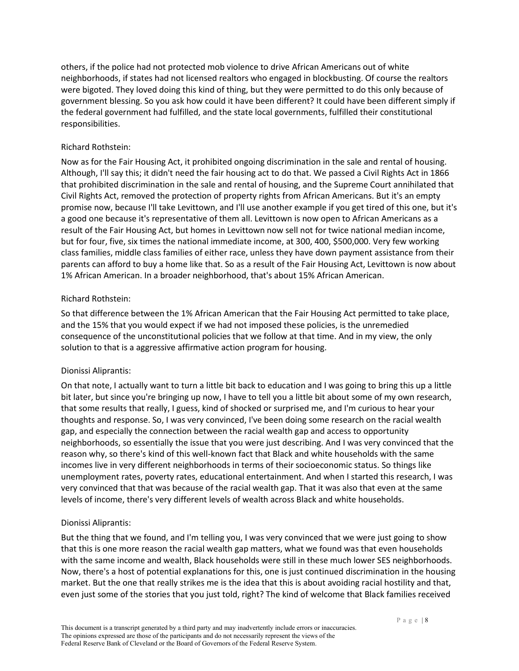others, if the police had not protected mob violence to drive African Americans out of white neighborhoods, if states had not licensed realtors who engaged in blockbusting. Of course the realtors were bigoted. They loved doing this kind of thing, but they were permitted to do this only because of government blessing. So you ask how could it have been different? It could have been different simply if the federal government had fulfilled, and the state local governments, fulfilled their constitutional responsibilities.

### Richard Rothstein:

Now as for the Fair Housing Act, it prohibited ongoing discrimination in the sale and rental of housing. Although, I'll say this; it didn't need the fair housing act to do that. We passed a Civil Rights Act in 1866 that prohibited discrimination in the sale and rental of housing, and the Supreme Court annihilated that Civil Rights Act, removed the protection of property rights from African Americans. But it's an empty promise now, because I'll take Levittown, and I'll use another example if you get tired of this one, but it's a good one because it's representative of them all. Levittown is now open to African Americans as a result of the Fair Housing Act, but homes in Levittown now sell not for twice national median income, but for four, five, six times the national immediate income, at 300, 400, \$500,000. Very few working class families, middle class families of either race, unless they have down payment assistance from their parents can afford to buy a home like that. So as a result of the Fair Housing Act, Levittown is now about 1% African American. In a broader neighborhood, that's about 15% African American.

## Richard Rothstein:

So that difference between the 1% African American that the Fair Housing Act permitted to take place, and the 15% that you would expect if we had not imposed these policies, is the unremedied consequence of the unconstitutional policies that we follow at that time. And in my view, the only solution to that is a aggressive affirmative action program for housing.

# Dionissi Aliprantis:

On that note, I actually want to turn a little bit back to education and I was going to bring this up a little bit later, but since you're bringing up now, I have to tell you a little bit about some of my own research, that some results that really, I guess, kind of shocked or surprised me, and I'm curious to hear your thoughts and response. So, I was very convinced, I've been doing some research on the racial wealth gap, and especially the connection between the racial wealth gap and access to opportunity neighborhoods, so essentially the issue that you were just describing. And I was very convinced that the reason why, so there's kind of this well-known fact that Black and white households with the same incomes live in very different neighborhoods in terms of their socioeconomic status. So things like unemployment rates, poverty rates, educational entertainment. And when I started this research, I was very convinced that that was because of the racial wealth gap. That it was also that even at the same levels of income, there's very different levels of wealth across Black and white households.

# Dionissi Aliprantis:

But the thing that we found, and I'm telling you, I was very convinced that we were just going to show that this is one more reason the racial wealth gap matters, what we found was that even households with the same income and wealth, Black households were still in these much lower SES neighborhoods. Now, there's a host of potential explanations for this, one is just continued discrimination in the housing market. But the one that really strikes me is the idea that this is about avoiding racial hostility and that, even just some of the stories that you just told, right? The kind of welcome that Black families received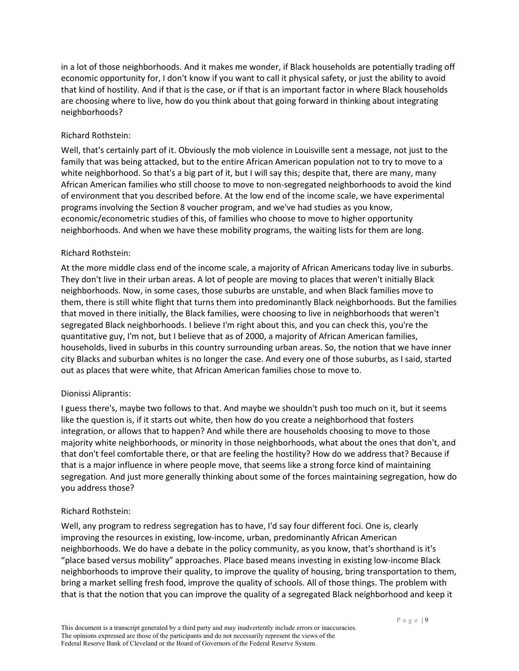in a lot of those neighborhoods. And it makes me wonder, if Black households are potentially trading off economic opportunity for, I don't know if you want to call it physical safety, or just the ability to avoid that kind of hostility. And if that is the case, or if that is an important factor in where Black households are choosing where to live, how do you think about that going forward in thinking about integrating neighborhoods?

## Richard Rothstein:

Well, that's certainly part of it. Obviously the mob violence in Louisville sent a message, not just to the family that was being attacked, but to the entire African American population not to try to move to a white neighborhood. So that's a big part of it, but I will say this; despite that, there are many, many African American families who still choose to move to non-segregated neighborhoods to avoid the kind of environment that you described before. At the low end of the income scale, we have experimental programs involving the Section 8 voucher program, and we've had studies as you know, economic/econometric studies of this, of families who choose to move to higher opportunity neighborhoods. And when we have these mobility programs, the waiting lists for them are long.

## Richard Rothstein:

At the more middle class end of the income scale, a majority of African Americans today live in suburbs. They don't live in their urban areas. A lot of people are moving to places that weren't initially Black neighborhoods. Now, in some cases, those suburbs are unstable, and when Black families move to them, there is still white flight that turns them into predominantly Black neighborhoods. But the families that moved in there initially, the Black families, were choosing to live in neighborhoods that weren't segregated Black neighborhoods. I believe I'm right about this, and you can check this, you're the quantitative guy, I'm not, but I believe that as of 2000, a majority of African American families, households, lived in suburbs in this country surrounding urban areas. So, the notion that we have inner city Blacks and suburban whites is no longer the case. And every one of those suburbs, as I said, started out as places that were white, that African American families chose to move to.

# Dionissi Aliprantis:

I guess there's, maybe two follows to that. And maybe we shouldn't push too much on it, but it seems like the question is, if it starts out white, then how do you create a neighborhood that fosters integration, or allows that to happen? And while there are households choosing to move to those majority white neighborhoods, or minority in those neighborhoods, what about the ones that don't, and that don't feel comfortable there, or that are feeling the hostility? How do we address that? Because if that is a major influence in where people move, that seems like a strong force kind of maintaining segregation. And just more generally thinking about some of the forces maintaining segregation, how do you address those?

### Richard Rothstein:

Well, any program to redress segregation has to have, I'd say four different foci. One is, clearly improving the resources in existing, low-income, urban, predominantly African American neighborhoods. We do have a debate in the policy community, as you know, that's shorthand is it's "place based versus mobility" approaches. Place based means investing in existing low-income Black neighborhoods to improve their quality, to improve the quality of housing, bring transportation to them, bring a market selling fresh food, improve the quality of schools. All of those things. The problem with that is that the notion that you can improve the quality of a segregated Black neighborhood and keep it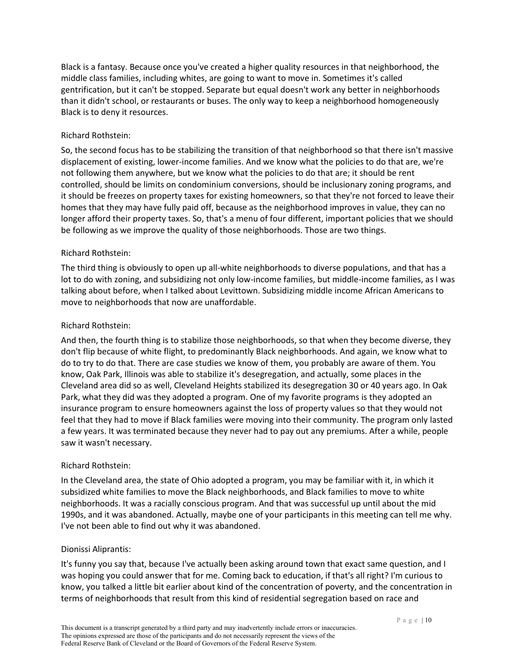Black is a fantasy. Because once you've created a higher quality resources in that neighborhood, the middle class families, including whites, are going to want to move in. Sometimes it's called gentrification, but it can't be stopped. Separate but equal doesn't work any better in neighborhoods than it didn't school, or restaurants or buses. The only way to keep a neighborhood homogeneously Black is to deny it resources.

## Richard Rothstein:

So, the second focus has to be stabilizing the transition of that neighborhood so that there isn't massive displacement of existing, lower-income families. And we know what the policies to do that are, we're not following them anywhere, but we know what the policies to do that are; it should be rent controlled, should be limits on condominium conversions, should be inclusionary zoning programs, and it should be freezes on property taxes for existing homeowners, so that they're not forced to leave their homes that they may have fully paid off, because as the neighborhood improves in value, they can no longer afford their property taxes. So, that's a menu of four different, important policies that we should be following as we improve the quality of those neighborhoods. Those are two things.

## Richard Rothstein:

The third thing is obviously to open up all-white neighborhoods to diverse populations, and that has a lot to do with zoning, and subsidizing not only low-income families, but middle-income families, as I was talking about before, when I talked about Levittown. Subsidizing middle income African Americans to move to neighborhoods that now are unaffordable.

## Richard Rothstein:

And then, the fourth thing is to stabilize those neighborhoods, so that when they become diverse, they don't flip because of white flight, to predominantly Black neighborhoods. And again, we know what to do to try to do that. There are case studies we know of them, you probably are aware of them. You know, Oak Park, Illinois was able to stabilize it's desegregation, and actually, some places in the Cleveland area did so as well, Cleveland Heights stabilized its desegregation 30 or 40 years ago. In Oak Park, what they did was they adopted a program. One of my favorite programs is they adopted an insurance program to ensure homeowners against the loss of property values so that they would not feel that they had to move if Black families were moving into their community. The program only lasted a few years. It was terminated because they never had to pay out any premiums. After a while, people saw it wasn't necessary.

# Richard Rothstein:

In the Cleveland area, the state of Ohio adopted a program, you may be familiar with it, in which it subsidized white families to move the Black neighborhoods, and Black families to move to white neighborhoods. It was a racially conscious program. And that was successful up until about the mid 1990s, and it was abandoned. Actually, maybe one of your participants in this meeting can tell me why. I've not been able to find out why it was abandoned.

### Dionissi Aliprantis:

It's funny you say that, because I've actually been asking around town that exact same question, and I was hoping you could answer that for me. Coming back to education, if that's all right? I'm curious to know, you talked a little bit earlier about kind of the concentration of poverty, and the concentration in terms of neighborhoods that result from this kind of residential segregation based on race and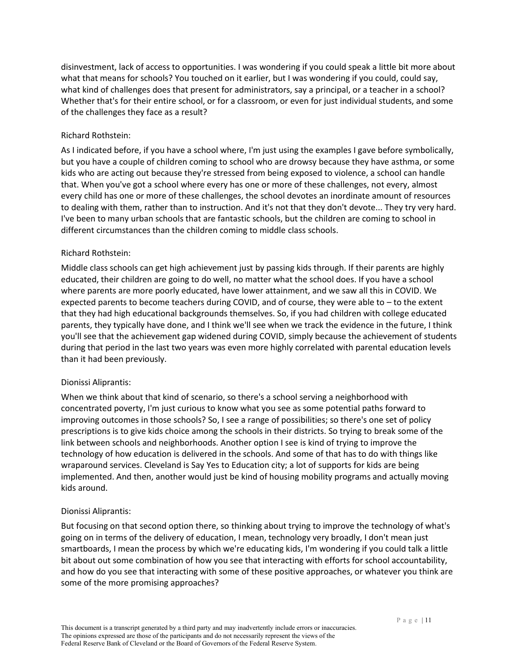disinvestment, lack of access to opportunities. I was wondering if you could speak a little bit more about what that means for schools? You touched on it earlier, but I was wondering if you could, could say, what kind of challenges does that present for administrators, say a principal, or a teacher in a school? Whether that's for their entire school, or for a classroom, or even for just individual students, and some of the challenges they face as a result?

## Richard Rothstein:

As I indicated before, if you have a school where, I'm just using the examples I gave before symbolically, but you have a couple of children coming to school who are drowsy because they have asthma, or some kids who are acting out because they're stressed from being exposed to violence, a school can handle that. When you've got a school where every has one or more of these challenges, not every, almost every child has one or more of these challenges, the school devotes an inordinate amount of resources to dealing with them, rather than to instruction. And it's not that they don't devote... They try very hard. I've been to many urban schools that are fantastic schools, but the children are coming to school in different circumstances than the children coming to middle class schools.

## Richard Rothstein:

Middle class schools can get high achievement just by passing kids through. If their parents are highly educated, their children are going to do well, no matter what the school does. If you have a school where parents are more poorly educated, have lower attainment, and we saw all this in COVID. We expected parents to become teachers during COVID, and of course, they were able to – to the extent that they had high educational backgrounds themselves. So, if you had children with college educated parents, they typically have done, and I think we'll see when we track the evidence in the future, I think you'll see that the achievement gap widened during COVID, simply because the achievement of students during that period in the last two years was even more highly correlated with parental education levels than it had been previously.

### Dionissi Aliprantis:

When we think about that kind of scenario, so there's a school serving a neighborhood with concentrated poverty, I'm just curious to know what you see as some potential paths forward to improving outcomes in those schools? So, I see a range of possibilities; so there's one set of policy prescriptions is to give kids choice among the schools in their districts. So trying to break some of the link between schools and neighborhoods. Another option I see is kind of trying to improve the technology of how education is delivered in the schools. And some of that has to do with things like wraparound services. Cleveland is Say Yes to Education city; a lot of supports for kids are being implemented. And then, another would just be kind of housing mobility programs and actually moving kids around.

### Dionissi Aliprantis:

But focusing on that second option there, so thinking about trying to improve the technology of what's going on in terms of the delivery of education, I mean, technology very broadly, I don't mean just smartboards, I mean the process by which we're educating kids, I'm wondering if you could talk a little bit about out some combination of how you see that interacting with efforts for school accountability, and how do you see that interacting with some of these positive approaches, or whatever you think are some of the more promising approaches?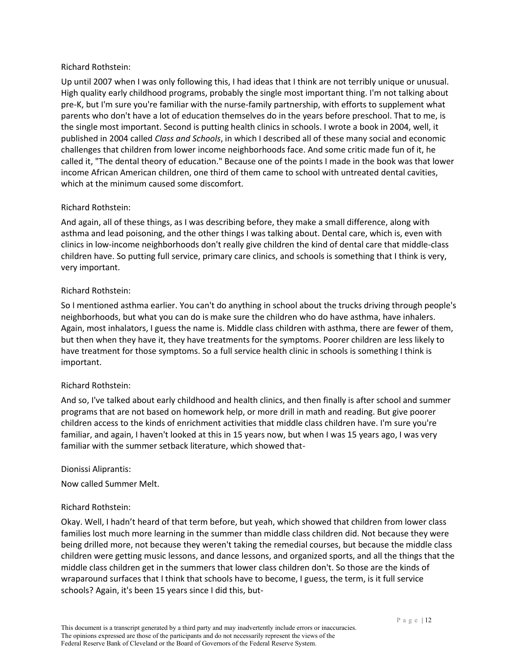### Richard Rothstein:

Up until 2007 when I was only following this, I had ideas that I think are not terribly unique or unusual. High quality early childhood programs, probably the single most important thing. I'm not talking about pre-K, but I'm sure you're familiar with the nurse-family partnership, with efforts to supplement what parents who don't have a lot of education themselves do in the years before preschool. That to me, is the single most important. Second is putting health clinics in schools. I wrote a book in 2004, well, it published in 2004 called *Class and Schools*, in which I described all of these many social and economic challenges that children from lower income neighborhoods face. And some critic made fun of it, he called it, "The dental theory of education." Because one of the points I made in the book was that lower income African American children, one third of them came to school with untreated dental cavities, which at the minimum caused some discomfort.

## Richard Rothstein:

And again, all of these things, as I was describing before, they make a small difference, along with asthma and lead poisoning, and the other things I was talking about. Dental care, which is, even with clinics in low-income neighborhoods don't really give children the kind of dental care that middle-class children have. So putting full service, primary care clinics, and schools is something that I think is very, very important.

## Richard Rothstein:

So I mentioned asthma earlier. You can't do anything in school about the trucks driving through people's neighborhoods, but what you can do is make sure the children who do have asthma, have inhalers. Again, most inhalators, I guess the name is. Middle class children with asthma, there are fewer of them, but then when they have it, they have treatments for the symptoms. Poorer children are less likely to have treatment for those symptoms. So a full service health clinic in schools is something I think is important.

### Richard Rothstein:

And so, I've talked about early childhood and health clinics, and then finally is after school and summer programs that are not based on homework help, or more drill in math and reading. But give poorer children access to the kinds of enrichment activities that middle class children have. I'm sure you're familiar, and again, I haven't looked at this in 15 years now, but when I was 15 years ago, I was very familiar with the summer setback literature, which showed that-

### Dionissi Aliprantis:

Now called Summer Melt.

# Richard Rothstein:

Okay. Well, I hadn't heard of that term before, but yeah, which showed that children from lower class families lost much more learning in the summer than middle class children did. Not because they were being drilled more, not because they weren't taking the remedial courses, but because the middle class children were getting music lessons, and dance lessons, and organized sports, and all the things that the middle class children get in the summers that lower class children don't. So those are the kinds of wraparound surfaces that I think that schools have to become, I guess, the term, is it full service schools? Again, it's been 15 years since I did this, but-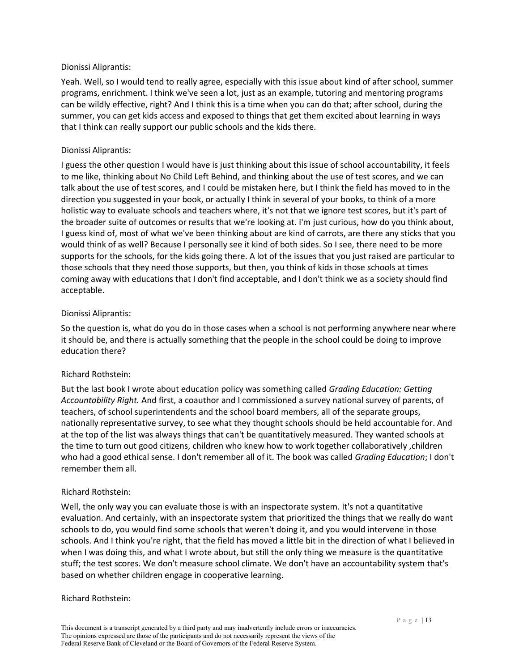#### Dionissi Aliprantis:

Yeah. Well, so I would tend to really agree, especially with this issue about kind of after school, summer programs, enrichment. I think we've seen a lot, just as an example, tutoring and mentoring programs can be wildly effective, right? And I think this is a time when you can do that; after school, during the summer, you can get kids access and exposed to things that get them excited about learning in ways that I think can really support our public schools and the kids there.

### Dionissi Aliprantis:

I guess the other question I would have is just thinking about this issue of school accountability, it feels to me like, thinking about No Child Left Behind, and thinking about the use of test scores, and we can talk about the use of test scores, and I could be mistaken here, but I think the field has moved to in the direction you suggested in your book, or actually I think in several of your books, to think of a more holistic way to evaluate schools and teachers where, it's not that we ignore test scores, but it's part of the broader suite of outcomes or results that we're looking at. I'm just curious, how do you think about, I guess kind of, most of what we've been thinking about are kind of carrots, are there any sticks that you would think of as well? Because I personally see it kind of both sides. So I see, there need to be more supports for the schools, for the kids going there. A lot of the issues that you just raised are particular to those schools that they need those supports, but then, you think of kids in those schools at times coming away with educations that I don't find acceptable, and I don't think we as a society should find acceptable.

### Dionissi Aliprantis:

So the question is, what do you do in those cases when a school is not performing anywhere near where it should be, and there is actually something that the people in the school could be doing to improve education there?

# Richard Rothstein:

But the last book I wrote about education policy was something called *Grading Education: Getting Accountability Right.* And first, a coauthor and I commissioned a survey national survey of parents, of teachers, of school superintendents and the school board members, all of the separate groups, nationally representative survey, to see what they thought schools should be held accountable for. And at the top of the list was always things that can't be quantitatively measured. They wanted schools at the time to turn out good citizens, children who knew how to work together collaboratively ,children who had a good ethical sense. I don't remember all of it. The book was called *Grading Education*; I don't remember them all.

### Richard Rothstein:

Well, the only way you can evaluate those is with an inspectorate system. It's not a quantitative evaluation. And certainly, with an inspectorate system that prioritized the things that we really do want schools to do, you would find some schools that weren't doing it, and you would intervene in those schools. And I think you're right, that the field has moved a little bit in the direction of what I believed in when I was doing this, and what I wrote about, but still the only thing we measure is the quantitative stuff; the test scores. We don't measure school climate. We don't have an accountability system that's based on whether children engage in cooperative learning.

### Richard Rothstein: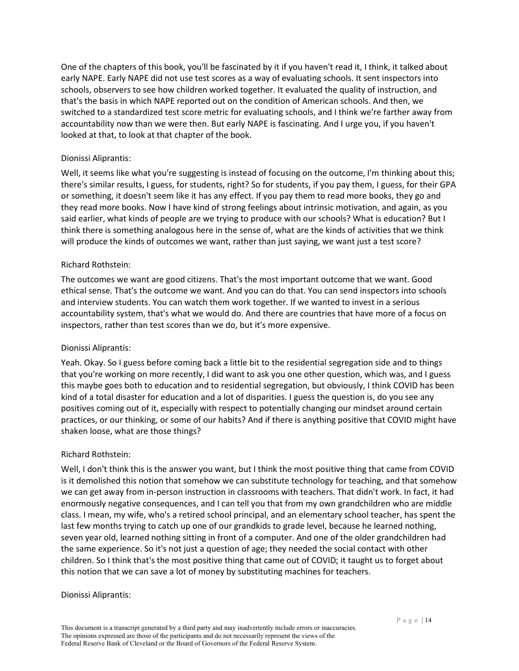One of the chapters of this book, you'll be fascinated by it if you haven't read it, I think, it talked about early NAPE. Early NAPE did not use test scores as a way of evaluating schools. It sent inspectors into schools, observers to see how children worked together. It evaluated the quality of instruction, and that's the basis in which NAPE reported out on the condition of American schools. And then, we switched to a standardized test score metric for evaluating schools, and I think we're farther away from accountability now than we were then. But early NAPE is fascinating. And I urge you, if you haven't looked at that, to look at that chapter of the book.

### Dionissi Aliprantis:

Well, it seems like what you're suggesting is instead of focusing on the outcome, I'm thinking about this; there's similar results, I guess, for students, right? So for students, if you pay them, I guess, for their GPA or something, it doesn't seem like it has any effect. If you pay them to read more books, they go and they read more books. Now I have kind of strong feelings about intrinsic motivation, and again, as you said earlier, what kinds of people are we trying to produce with our schools? What is education? But I think there is something analogous here in the sense of, what are the kinds of activities that we think will produce the kinds of outcomes we want, rather than just saying, we want just a test score?

### Richard Rothstein:

The outcomes we want are good citizens. That's the most important outcome that we want. Good ethical sense. That's the outcome we want. And you can do that. You can send inspectors into schools and interview students. You can watch them work together. If we wanted to invest in a serious accountability system, that's what we would do. And there are countries that have more of a focus on inspectors, rather than test scores than we do, but it's more expensive.

### Dionissi Aliprantis:

Yeah. Okay. So I guess before coming back a little bit to the residential segregation side and to things that you're working on more recently, I did want to ask you one other question, which was, and I guess this maybe goes both to education and to residential segregation, but obviously, I think COVID has been kind of a total disaster for education and a lot of disparities. I guess the question is, do you see any positives coming out of it, especially with respect to potentially changing our mindset around certain practices, or our thinking, or some of our habits? And if there is anything positive that COVID might have shaken loose, what are those things?

### Richard Rothstein:

Well, I don't think this is the answer you want, but I think the most positive thing that came from COVID is it demolished this notion that somehow we can substitute technology for teaching, and that somehow we can get away from in-person instruction in classrooms with teachers. That didn't work. In fact, it had enormously negative consequences, and I can tell you that from my own grandchildren who are middle class. I mean, my wife, who's a retired school principal, and an elementary school teacher, has spent the last few months trying to catch up one of our grandkids to grade level, because he learned nothing, seven year old, learned nothing sitting in front of a computer. And one of the older grandchildren had the same experience. So it's not just a question of age; they needed the social contact with other children. So I think that's the most positive thing that came out of COVID; it taught us to forget about this notion that we can save a lot of money by substituting machines for teachers.

### Dionissi Aliprantis: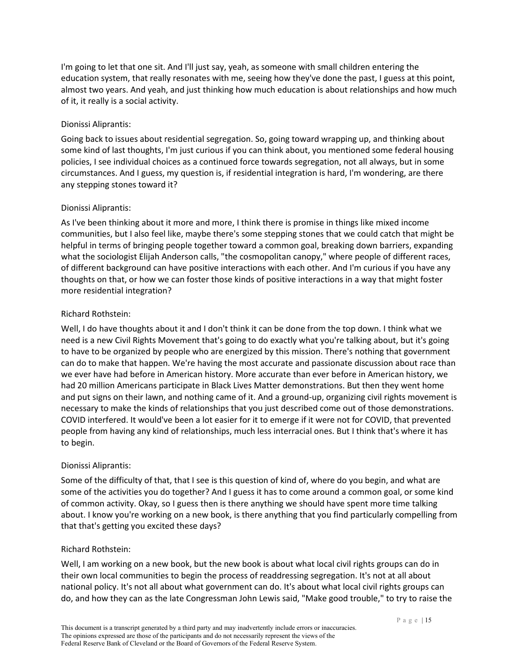I'm going to let that one sit. And I'll just say, yeah, as someone with small children entering the education system, that really resonates with me, seeing how they've done the past, I guess at this point, almost two years. And yeah, and just thinking how much education is about relationships and how much of it, it really is a social activity.

## Dionissi Aliprantis:

Going back to issues about residential segregation. So, going toward wrapping up, and thinking about some kind of last thoughts, I'm just curious if you can think about, you mentioned some federal housing policies, I see individual choices as a continued force towards segregation, not all always, but in some circumstances. And I guess, my question is, if residential integration is hard, I'm wondering, are there any stepping stones toward it?

## Dionissi Aliprantis:

As I've been thinking about it more and more, I think there is promise in things like mixed income communities, but I also feel like, maybe there's some stepping stones that we could catch that might be helpful in terms of bringing people together toward a common goal, breaking down barriers, expanding what the sociologist Elijah Anderson calls, "the cosmopolitan canopy," where people of different races, of different background can have positive interactions with each other. And I'm curious if you have any thoughts on that, or how we can foster those kinds of positive interactions in a way that might foster more residential integration?

# Richard Rothstein:

Well, I do have thoughts about it and I don't think it can be done from the top down. I think what we need is a new Civil Rights Movement that's going to do exactly what you're talking about, but it's going to have to be organized by people who are energized by this mission. There's nothing that government can do to make that happen. We're having the most accurate and passionate discussion about race than we ever have had before in American history. More accurate than ever before in American history, we had 20 million Americans participate in Black Lives Matter demonstrations. But then they went home and put signs on their lawn, and nothing came of it. And a ground-up, organizing civil rights movement is necessary to make the kinds of relationships that you just described come out of those demonstrations. COVID interfered. It would've been a lot easier for it to emerge if it were not for COVID, that prevented people from having any kind of relationships, much less interracial ones. But I think that's where it has to begin.

# Dionissi Aliprantis:

Some of the difficulty of that, that I see is this question of kind of, where do you begin, and what are some of the activities you do together? And I guess it has to come around a common goal, or some kind of common activity. Okay, so I guess then is there anything we should have spent more time talking about. I know you're working on a new book, is there anything that you find particularly compelling from that that's getting you excited these days?

### Richard Rothstein:

Well, I am working on a new book, but the new book is about what local civil rights groups can do in their own local communities to begin the process of readdressing segregation. It's not at all about national policy. It's not all about what government can do. It's about what local civil rights groups can do, and how they can as the late Congressman John Lewis said, "Make good trouble," to try to raise the